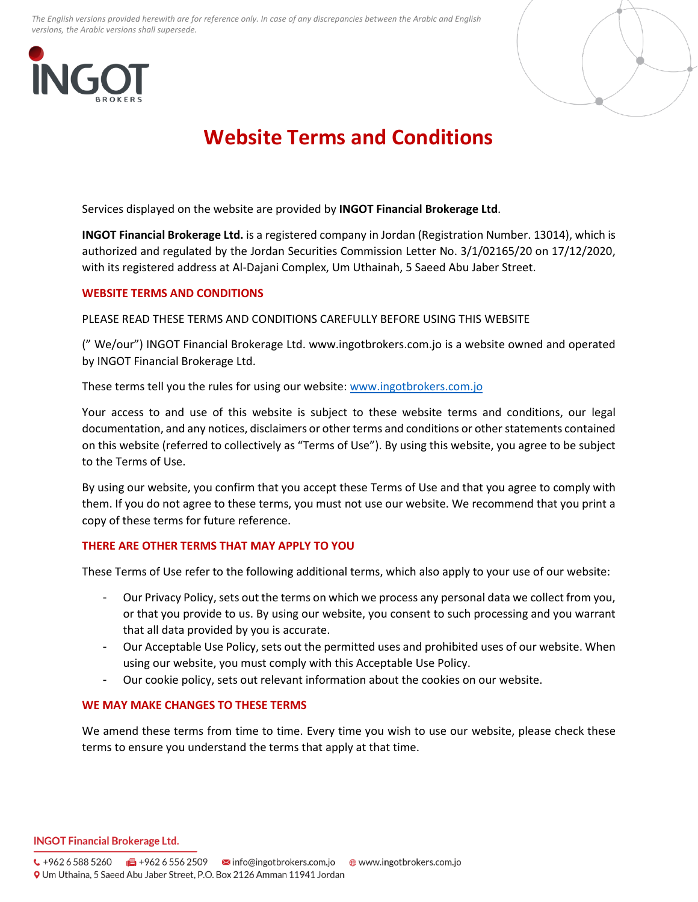*The English versions provided herewith are for reference only. In case of any discrepancies between the Arabic and English versions, the Arabic versions shall supersede.*





# **Website Terms and Conditions**

Services displayed on the website are provided by **INGOT Financial Brokerage Ltd**.

**INGOT Financial Brokerage Ltd.** is a registered company in Jordan (Registration Number. 13014), which is authorized and regulated by the Jordan Securities Commission Letter No. 3/1/02165/20 on 17/12/2020, with its registered address at Al-Dajani Complex, Um Uthainah, 5 Saeed Abu Jaber Street.

## **WEBSITE TERMS AND CONDITIONS**

PLEASE READ THESE TERMS AND CONDITIONS CAREFULLY BEFORE USING THIS WEBSITE

(" We/our") INGOT Financial Brokerage Ltd. www.ingotbrokers.com.jo is a website owned and operated by INGOT Financial Brokerage Ltd.

These terms tell you the rules for using our website: [www.ingotbrokers.com.jo](http://www.ingotbrokers.com.jo/)

Your access to and use of this website is subject to these website terms and conditions, our legal documentation, and any notices, disclaimers or other terms and conditions or other statements contained on this website (referred to collectively as "Terms of Use"). By using this website, you agree to be subject to the Terms of Use.

By using our website, you confirm that you accept these Terms of Use and that you agree to comply with them. If you do not agree to these terms, you must not use our website. We recommend that you print a copy of these terms for future reference.

# **THERE ARE OTHER TERMS THAT MAY APPLY TO YOU**

These Terms of Use refer to the following additional terms, which also apply to your use of our website:

- Our Privacy Policy, sets out the terms on which we process any personal data we collect from you, or that you provide to us. By using our website, you consent to such processing and you warrant that all data provided by you is accurate.
- Our Acceptable Use Policy, sets out the permitted uses and prohibited uses of our website. When using our website, you must comply with this Acceptable Use Policy.
- Our cookie policy, sets out relevant information about the cookies on our website.

#### **WE MAY MAKE CHANGES TO THESE TERMS**

We amend these terms from time to time. Every time you wish to use our website, please check these terms to ensure you understand the terms that apply at that time.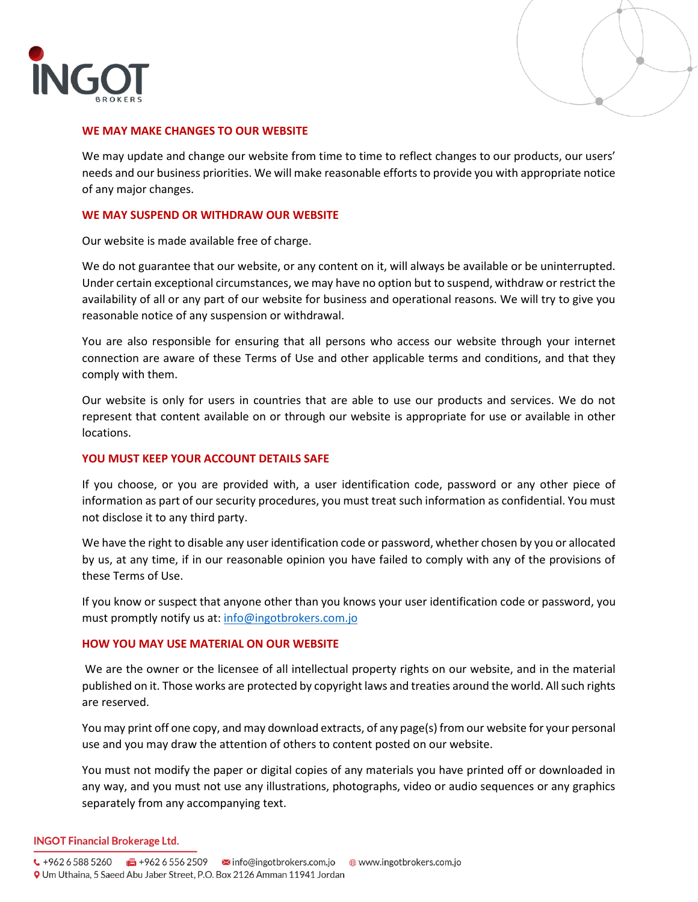



# **WE MAY MAKE CHANGES TO OUR WEBSITE**

We may update and change our website from time to time to reflect changes to our products, our users' needs and our business priorities. We will make reasonable efforts to provide you with appropriate notice of any major changes.

# **WE MAY SUSPEND OR WITHDRAW OUR WEBSITE**

Our website is made available free of charge.

We do not guarantee that our website, or any content on it, will always be available or be uninterrupted. Under certain exceptional circumstances, we may have no option but to suspend, withdraw or restrict the availability of all or any part of our website for business and operational reasons. We will try to give you reasonable notice of any suspension or withdrawal.

You are also responsible for ensuring that all persons who access our website through your internet connection are aware of these Terms of Use and other applicable terms and conditions, and that they comply with them.

Our website is only for users in countries that are able to use our products and services. We do not represent that content available on or through our website is appropriate for use or available in other locations.

# **YOU MUST KEEP YOUR ACCOUNT DETAILS SAFE**

If you choose, or you are provided with, a user identification code, password or any other piece of information as part of our security procedures, you must treat such information as confidential. You must not disclose it to any third party.

We have the right to disable any user identification code or password, whether chosen by you or allocated by us, at any time, if in our reasonable opinion you have failed to comply with any of the provisions of these Terms of Use.

If you know or suspect that anyone other than you knows your user identification code or password, you must promptly notify us at: [info@ingotbrokers.com.jo](mailto:info@ingotbrokers.com.jo)

#### **HOW YOU MAY USE MATERIAL ON OUR WEBSITE**

We are the owner or the licensee of all intellectual property rights on our website, and in the material published on it. Those works are protected by copyright laws and treaties around the world. All such rights are reserved.

You may print off one copy, and may download extracts, of any page(s) from our website for your personal use and you may draw the attention of others to content posted on our website.

You must not modify the paper or digital copies of any materials you have printed off or downloaded in any way, and you must not use any illustrations, photographs, video or audio sequences or any graphics separately from any accompanying text.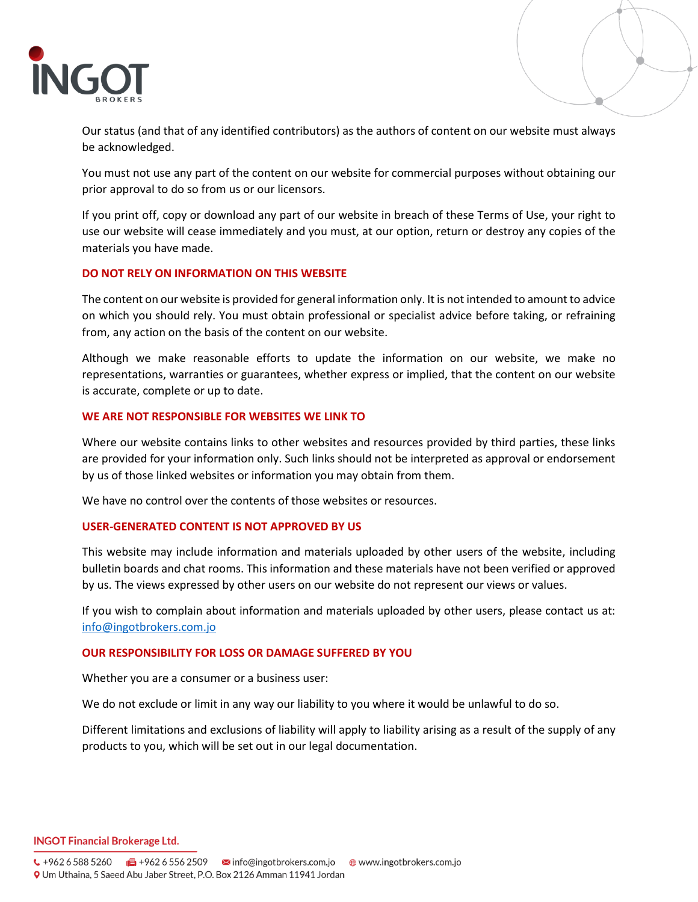

Our status (and that of any identified contributors) as the authors of content on our website must always be acknowledged.

You must not use any part of the content on our website for commercial purposes without obtaining our prior approval to do so from us or our licensors.

If you print off, copy or download any part of our website in breach of these Terms of Use, your right to use our website will cease immediately and you must, at our option, return or destroy any copies of the materials you have made.

#### **DO NOT RELY ON INFORMATION ON THIS WEBSITE**

The content on our website is provided for general information only. It is not intended to amount to advice on which you should rely. You must obtain professional or specialist advice before taking, or refraining from, any action on the basis of the content on our website.

Although we make reasonable efforts to update the information on our website, we make no representations, warranties or guarantees, whether express or implied, that the content on our website is accurate, complete or up to date.

#### **WE ARE NOT RESPONSIBLE FOR WEBSITES WE LINK TO**

Where our website contains links to other websites and resources provided by third parties, these links are provided for your information only. Such links should not be interpreted as approval or endorsement by us of those linked websites or information you may obtain from them.

We have no control over the contents of those websites or resources.

#### **USER-GENERATED CONTENT IS NOT APPROVED BY US**

This website may include information and materials uploaded by other users of the website, including bulletin boards and chat rooms. This information and these materials have not been verified or approved by us. The views expressed by other users on our website do not represent our views or values.

If you wish to complain about information and materials uploaded by other users, please contact us at: [info@ingotbrokers.com.jo](mailto:info@ingotbrokers.com.jo)

#### **OUR RESPONSIBILITY FOR LOSS OR DAMAGE SUFFERED BY YOU**

Whether you are a consumer or a business user:

We do not exclude or limit in any way our liability to you where it would be unlawful to do so.

Different limitations and exclusions of liability will apply to liability arising as a result of the supply of any products to you, which will be set out in our legal documentation.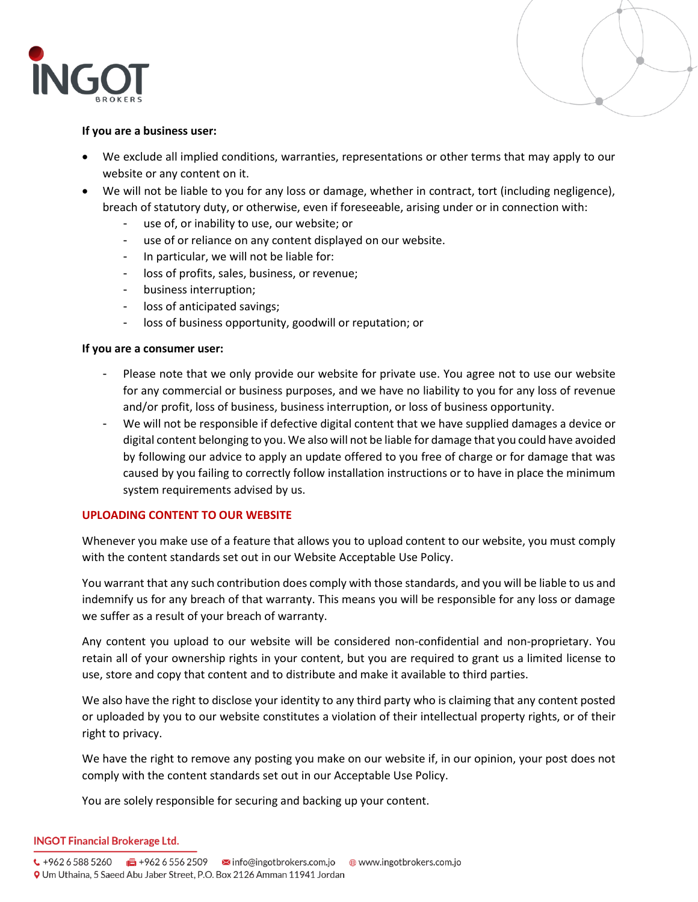



## **If you are a business user:**

- We exclude all implied conditions, warranties, representations or other terms that may apply to our website or any content on it.
- We will not be liable to you for any loss or damage, whether in contract, tort (including negligence), breach of statutory duty, or otherwise, even if foreseeable, arising under or in connection with:
	- use of, or inability to use, our website; or
	- use of or reliance on any content displayed on our website.
	- In particular, we will not be liable for:
	- loss of profits, sales, business, or revenue;
	- business interruption;
	- loss of anticipated savings;
	- loss of business opportunity, goodwill or reputation; or

## **If you are a consumer user:**

- Please note that we only provide our website for private use. You agree not to use our website for any commercial or business purposes, and we have no liability to you for any loss of revenue and/or profit, loss of business, business interruption, or loss of business opportunity.
- We will not be responsible if defective digital content that we have supplied damages a device or digital content belonging to you. We also will not be liable for damage that you could have avoided by following our advice to apply an update offered to you free of charge or for damage that was caused by you failing to correctly follow installation instructions or to have in place the minimum system requirements advised by us.

# **UPLOADING CONTENT TO OUR WEBSITE**

Whenever you make use of a feature that allows you to upload content to our website, you must comply with the content standards set out in our Website Acceptable Use Policy.

You warrant that any such contribution does comply with those standards, and you will be liable to us and indemnify us for any breach of that warranty. This means you will be responsible for any loss or damage we suffer as a result of your breach of warranty.

Any content you upload to our website will be considered non-confidential and non-proprietary. You retain all of your ownership rights in your content, but you are required to grant us a limited license to use, store and copy that content and to distribute and make it available to third parties.

We also have the right to disclose your identity to any third party who is claiming that any content posted or uploaded by you to our website constitutes a violation of their intellectual property rights, or of their right to privacy.

We have the right to remove any posting you make on our website if, in our opinion, your post does not comply with the content standards set out in our Acceptable Use Policy.

You are solely responsible for securing and backing up your content.